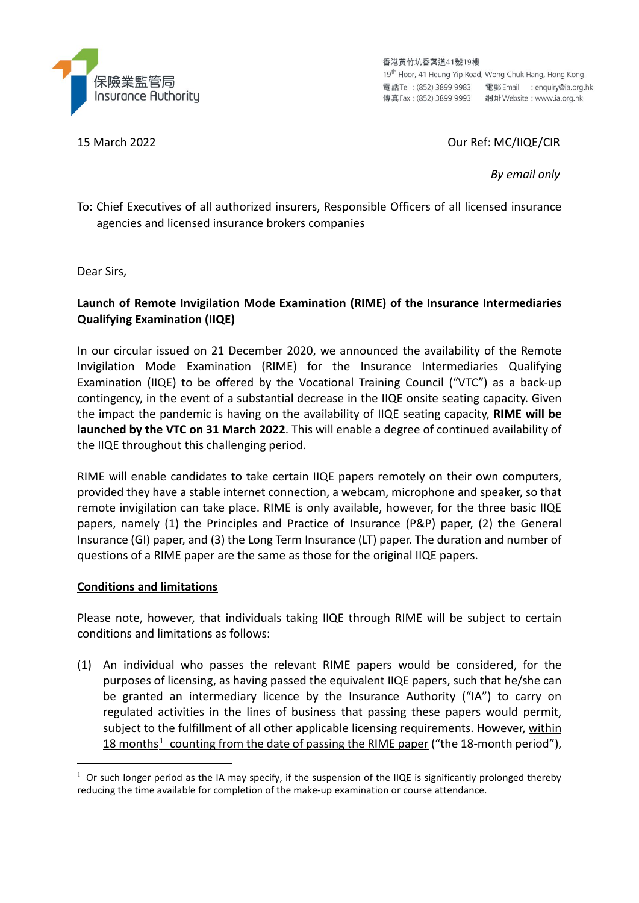

香港黃竹坑香葉道41號19樓 19<sup>th</sup> Floor, 41 Heung Yip Road, Wong Chuk Hang, Hong Kong. 電話Tel: (852) 3899 9983 電郵 Email : enquiry@ia.org.hk 

#### 15 March 2022 Our Ref: MC/IIQE/CIR

*By email only*

To: Chief Executives of all authorized insurers, Responsible Officers of all licensed insurance agencies and licensed insurance brokers companies

Dear Sirs,

# **Launch of Remote Invigilation Mode Examination (RIME) of the Insurance Intermediaries Qualifying Examination (IIQE)**

In our circular issued on 21 December 2020, we announced the availability of the Remote Invigilation Mode Examination (RIME) for the Insurance Intermediaries Qualifying Examination (IIQE) to be offered by the Vocational Training Council ("VTC") as a back-up contingency, in the event of a substantial decrease in the IIQE onsite seating capacity. Given the impact the pandemic is having on the availability of IIQE seating capacity, **RIME will be launched by the VTC on 31 March 2022**. This will enable a degree of continued availability of the IIQE throughout this challenging period.

RIME will enable candidates to take certain IIQE papers remotely on their own computers, provided they have a stable internet connection, a webcam, microphone and speaker, so that remote invigilation can take place. RIME is only available, however, for the three basic IIQE papers, namely (1) the Principles and Practice of Insurance (P&P) paper, (2) the General Insurance (GI) paper, and (3) the Long Term Insurance (LT) paper. The duration and number of questions of a RIME paper are the same as those for the original IIQE papers.

#### **Conditions and limitations**

Please note, however, that individuals taking IIQE through RIME will be subject to certain conditions and limitations as follows:

(1) An individual who passes the relevant RIME papers would be considered, for the purposes of licensing, as having passed the equivalent IIQE papers, such that he/she can be granted an intermediary licence by the Insurance Authority ("IA") to carry on regulated activities in the lines of business that passing these papers would permit, subject to the fulfillment of all other applicable licensing requirements. However, within [1](#page-0-0)8 months<sup>1</sup> counting from the date of passing the RIME paper ("the 18-month period"),

<span id="page-0-0"></span> $1$  Or such longer period as the IA may specify, if the suspension of the IIQE is significantly prolonged thereby reducing the time available for completion of the make-up examination or course attendance.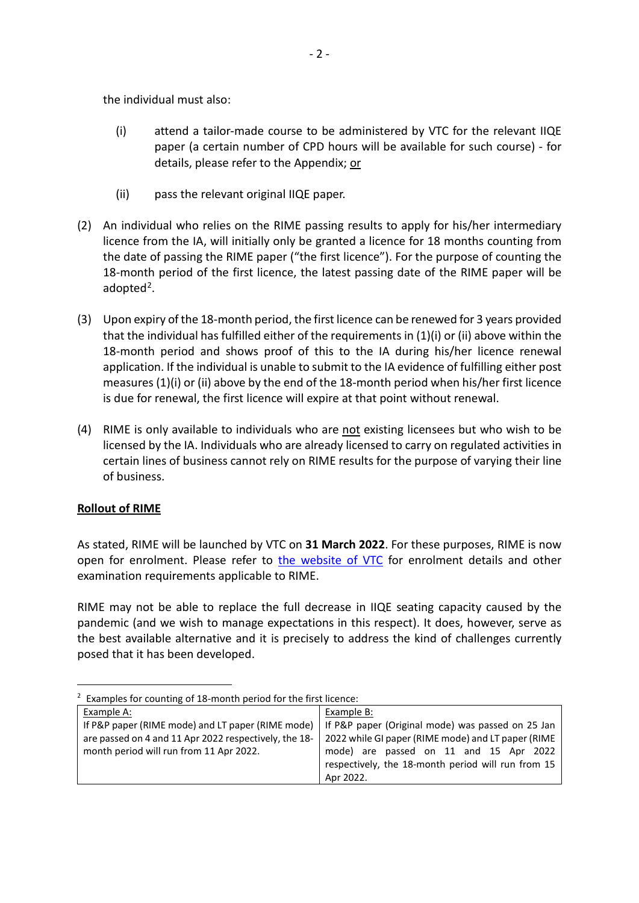the individual must also:

- (i) attend a tailor-made course to be administered by VTC for the relevant IIQE paper (a certain number of CPD hours will be available for such course) - for details, please refer to the Appendix; or
- (ii) pass the relevant original IIQE paper.
- (2) An individual who relies on the RIME passing results to apply for his/her intermediary licence from the IA, will initially only be granted a licence for 18 months counting from the date of passing the RIME paper ("the first licence"). For the purpose of counting the 18-month period of the first licence, the latest passing date of the RIME paper will be adopted<sup>[2](#page-1-0)</sup>.
- (3) Upon expiry of the 18-month period, the first licence can be renewed for 3 years provided that the individual has fulfilled either of the requirements in (1)(i) or (ii) above within the 18-month period and shows proof of this to the IA during his/her licence renewal application. If the individual is unable to submit to the IA evidence of fulfilling either post measures (1)(i) or (ii) above by the end of the 18-month period when his/her first licence is due for renewal, the first licence will expire at that point without renewal.
- (4) RIME is only available to individuals who are not existing licensees but who wish to be licensed by the IA. Individuals who are already licensed to carry on regulated activities in certain lines of business cannot rely on RIME results for the purpose of varying their line of business.

# **Rollout of RIME**

As stated, RIME will be launched by VTC on **31 March 2022**. For these purposes, RIME is now open for enrolment. Please refer to [the website of VTC](http://www.vtc.edu.hk/cpdc) for enrolment details and other examination requirements applicable to RIME.

RIME may not be able to replace the full decrease in IIQE seating capacity caused by the pandemic (and we wish to manage expectations in this respect). It does, however, serve as the best available alternative and it is precisely to address the kind of challenges currently posed that it has been developed.

<span id="page-1-0"></span>

| <sup>2</sup> Examples for counting of 18-month period for the first licence: |                                                    |
|------------------------------------------------------------------------------|----------------------------------------------------|
| Example A:                                                                   | Example B:                                         |
| If P&P paper (RIME mode) and LT paper (RIME mode) $\vert$                    | If P&P paper (Original mode) was passed on 25 Jan  |
| are passed on 4 and 11 Apr 2022 respectively, the 18-                        | 2022 while GI paper (RIME mode) and LT paper (RIME |
| month period will run from 11 Apr 2022.                                      | mode) are passed on 11 and 15 Apr 2022             |
|                                                                              | respectively, the 18-month period will run from 15 |
|                                                                              | Apr 2022.                                          |

-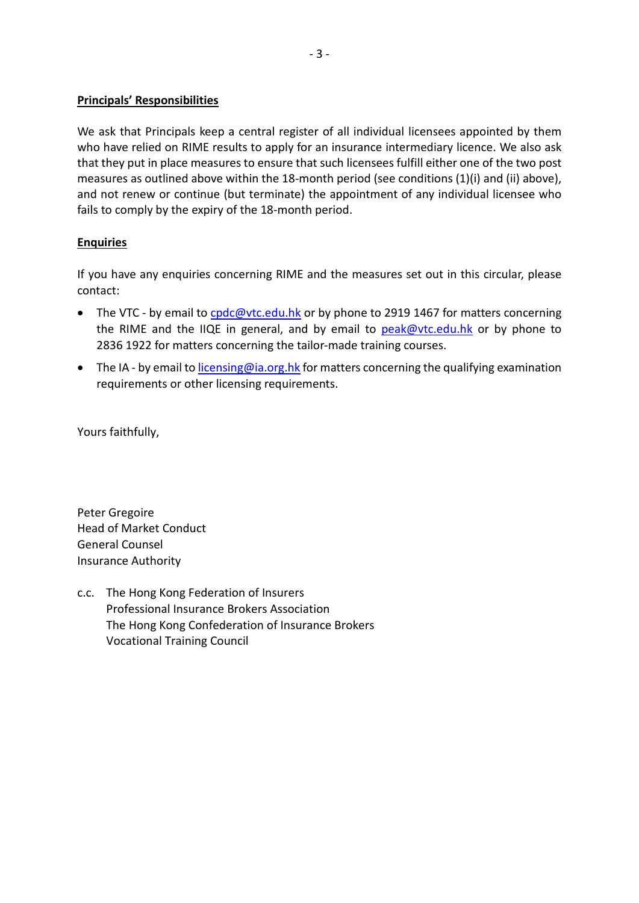### **Principals' Responsibilities**

We ask that Principals keep a central register of all individual licensees appointed by them who have relied on RIME results to apply for an insurance intermediary licence. We also ask that they put in place measures to ensure that such licensees fulfill either one of the two post measures as outlined above within the 18-month period (see conditions (1)(i) and (ii) above), and not renew or continue (but terminate) the appointment of any individual licensee who fails to comply by the expiry of the 18-month period.

# **Enquiries**

If you have any enquiries concerning RIME and the measures set out in this circular, please contact:

- The VTC by email to [cpdc@vtc.edu.hk](mailto:cpdc@vtc.edu.hk) or by phone to 2919 1467 for matters concerning the RIME and the IIQE in general, and by email to [peak@vtc.edu.hk](mailto:peak@vtc.edu.hk) or by phone to 2836 1922 for matters concerning the tailor-made training courses.
- The IA by email to *licensing@ia.org.hk* for matters concerning the qualifying examination requirements or other licensing requirements.

Yours faithfully,

Peter Gregoire Head of Market Conduct General Counsel Insurance Authority

c.c. The Hong Kong Federation of Insurers Professional Insurance Brokers Association The Hong Kong Confederation of Insurance Brokers Vocational Training Council